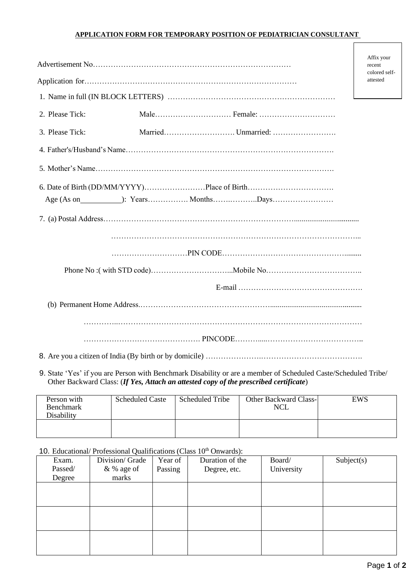## **APPLICATION FORM FOR TEMPORARY POSITION OF PEDIATRICIAN CONSULTANT**

|                 |  |  | Affix your<br>recent      |
|-----------------|--|--|---------------------------|
|                 |  |  | colored self-<br>attested |
|                 |  |  |                           |
|                 |  |  |                           |
| 2. Please Tick: |  |  |                           |
| 3. Please Tick: |  |  |                           |
|                 |  |  |                           |
|                 |  |  |                           |
|                 |  |  |                           |
|                 |  |  |                           |
|                 |  |  |                           |
|                 |  |  |                           |
|                 |  |  |                           |
|                 |  |  |                           |
|                 |  |  |                           |
|                 |  |  |                           |
|                 |  |  |                           |

9. State 'Yes' if you are Person with Benchmark Disability or are a member of Scheduled Caste/Scheduled Tribe/ Other Backward Class: (*If Yes, Attach an attested copy of the prescribed certificate*)

| Person with<br><b>Benchmark</b><br>Disability | <b>Scheduled Caste</b> | Scheduled Tribe | <b>Other Backward Class-</b><br><b>NCL</b> | EWS |
|-----------------------------------------------|------------------------|-----------------|--------------------------------------------|-----|
|                                               |                        |                 |                                            |     |

10. Educational/ Professional Qualifications (Class  $10<sup>th</sup>$  Onwards):

| Exam.   | Division/ Grade | Year of | Duration of the | Board/     | Subject(s) |
|---------|-----------------|---------|-----------------|------------|------------|
| Passed/ | & % age of      | Passing | Degree, etc.    | University |            |
| Degree  | marks           |         |                 |            |            |
|         |                 |         |                 |            |            |
|         |                 |         |                 |            |            |
|         |                 |         |                 |            |            |
|         |                 |         |                 |            |            |
|         |                 |         |                 |            |            |
|         |                 |         |                 |            |            |
|         |                 |         |                 |            |            |
|         |                 |         |                 |            |            |